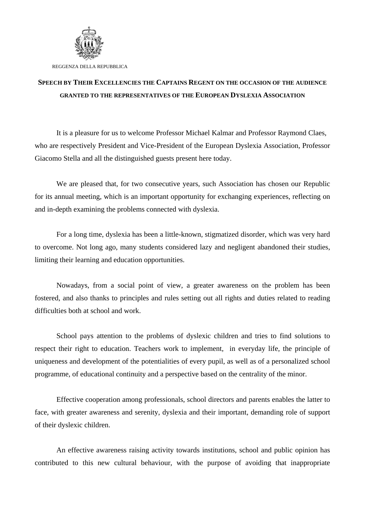

REGGENZA DELLA REPUBBLICA

## **SPEECH BY THEIR EXCELLENCIES THE CAPTAINS REGENT ON THE OCCASION OF THE AUDIENCE GRANTED TO THE REPRESENTATIVES OF THE EUROPEAN DYSLEXIA ASSOCIATION**

It is a pleasure for us to welcome Professor Michael Kalmar and Professor Raymond Claes, who are respectively President and Vice-President of the European Dyslexia Association, Professor Giacomo Stella and all the distinguished guests present here today.

We are pleased that, for two consecutive years, such Association has chosen our Republic for its annual meeting, which is an important opportunity for exchanging experiences, reflecting on and in-depth examining the problems connected with dyslexia.

For a long time, dyslexia has been a little-known, stigmatized disorder, which was very hard to overcome. Not long ago, many students considered lazy and negligent abandoned their studies, limiting their learning and education opportunities.

Nowadays, from a social point of view, a greater awareness on the problem has been fostered, and also thanks to principles and rules setting out all rights and duties related to reading difficulties both at school and work.

School pays attention to the problems of dyslexic children and tries to find solutions to respect their right to education. Teachers work to implement, in everyday life, the principle of uniqueness and development of the potentialities of every pupil, as well as of a personalized school programme, of educational continuity and a perspective based on the centrality of the minor.

Effective cooperation among professionals, school directors and parents enables the latter to face, with greater awareness and serenity, dyslexia and their important, demanding role of support of their dyslexic children.

An effective awareness raising activity towards institutions, school and public opinion has contributed to this new cultural behaviour, with the purpose of avoiding that inappropriate